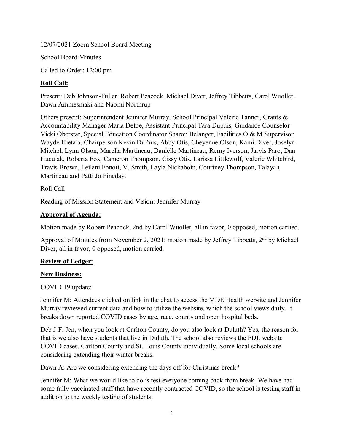12/07/2021 Zoom School Board Meeting

School Board Minutes

Called to Order: 12:00 pm

# **Roll Call:**

Present: Deb Johnson-Fuller, Robert Peacock, Michael Diver, Jeffrey Tibbetts, Carol Wuollet, Dawn Ammesmaki and Naomi Northrup

Others present: Superintendent Jennifer Murray, School Principal Valerie Tanner, Grants & Accountability Manager Maria Defoe, Assistant Principal Tara Dupuis, Guidance Counselor Vicki Oberstar, Special Education Coordinator Sharon Belanger, Facilities O & M Supervisor Wayde Hietala, Chairperson Kevin DuPuis, Abby Otis, Cheyenne Olson, Kami Diver, Joselyn Mitchel, Lynn Olson, Marella Martineau, Danielle Martineau, Remy Iverson, Jarvis Paro, Dan Huculak, Roberta Fox, Cameron Thompson, Cissy Otis, Larissa Littlewolf, Valerie Whitebird, Travis Brown, Leilani Fonoti, V. Smith, Layla Nickaboin, Courtney Thompson, Talayah Martineau and Patti Jo Fineday.

Roll Call

Reading of Mission Statement and Vision: Jennifer Murray

## **Approval of Agenda:**

Motion made by Robert Peacock, 2nd by Carol Wuollet, all in favor, 0 opposed, motion carried.

Approval of Minutes from November 2, 2021: motion made by Jeffrey Tibbetts, 2<sup>nd</sup> by Michael Diver, all in favor, 0 opposed, motion carried.

## **Review of Ledger:**

## **New Business:**

COVID 19 update:

Jennifer M: Attendees clicked on link in the chat to access the MDE Health website and Jennifer Murray reviewed current data and how to utilize the website, which the school views daily. It breaks down reported COVID cases by age, race, county and open hospital beds.

Deb J-F: Jen, when you look at Carlton County, do you also look at Duluth? Yes, the reason for that is we also have students that live in Duluth. The school also reviews the FDL website COVID cases, Carlton County and St. Louis County individually. Some local schools are considering extending their winter breaks.

Dawn A: Are we considering extending the days off for Christmas break?

Jennifer M: What we would like to do is test everyone coming back from break. We have had some fully vaccinated staff that have recently contracted COVID, so the school is testing staff in addition to the weekly testing of students.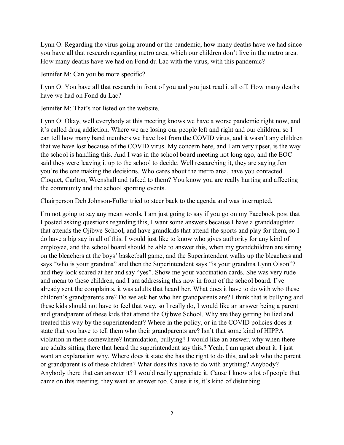Lynn O: Regarding the virus going around or the pandemic, how many deaths have we had since you have all that research regarding metro area, which our children don't live in the metro area. How many deaths have we had on Fond du Lac with the virus, with this pandemic?

Jennifer M: Can you be more specific?

Lynn O: You have all that research in front of you and you just read it all off. How many deaths have we had on Fond du Lac?

Jennifer M: That's not listed on the website.

Lynn O: Okay, well everybody at this meeting knows we have a worse pandemic right now, and it's called drug addiction. Where we are losing our people left and right and our children, so I can tell how many band members we have lost from the COVID virus, and it wasn't any children that we have lost because of the COVID virus. My concern here, and I am very upset, is the way the school is handling this. And I was in the school board meeting not long ago, and the EOC said they were leaving it up to the school to decide. Well researching it, they are saying Jen you're the one making the decisions. Who cares about the metro area, have you contacted Cloquet, Carlton, Wrenshall and talked to them? You know you are really hurting and affecting the community and the school sporting events.

Chairperson Deb Johnson-Fuller tried to steer back to the agenda and was interrupted.

I'm not going to say any mean words, I am just going to say if you go on my Facebook post that I posted asking questions regarding this, I want some answers because I have a granddaughter that attends the Ojibwe School, and have grandkids that attend the sports and play for them, so I do have a big say in all of this. I would just like to know who gives authority for any kind of employee, and the school board should be able to answer this, when my grandchildren are sitting on the bleachers at the boys' basketball game, and the Superintendent walks up the bleachers and says "who is your grandma" and then the Superintendent says "is your grandma Lynn Olson"? and they look scared at her and say "yes". Show me your vaccination cards. She was very rude and mean to these children, and I am addressing this now in front of the school board. I've already sent the complaints, it was adults that heard her. What does it have to do with who these children's grandparents are? Do we ask her who her grandparents are? I think that is bullying and these kids should not have to feel that way, so I really do, I would like an answer being a parent and grandparent of these kids that attend the Ojibwe School. Why are they getting bullied and treated this way by the superintendent? Where in the policy, or in the COVID policies does it state that you have to tell them who their grandparents are? Isn't that some kind of HIPPA violation in there somewhere? Intimidation, bullying? I would like an answer, why when there are adults sitting there that heard the superintendent say this.? Yeah, I am upset about it. I just want an explanation why. Where does it state she has the right to do this, and ask who the parent or grandparent is of these children? What does this have to do with anything? Anybody? Anybody there that can answer it? I would really appreciate it. Cause I know a lot of people that came on this meeting, they want an answer too. Cause it is, it's kind of disturbing.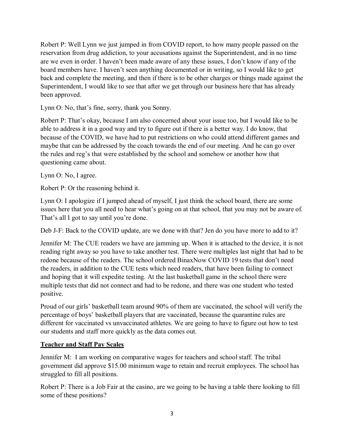Robert P: Well Lynn we just jumped in from COVID report, to how many people passed on the reservation from drug addiction, to your accusations against the Superintendent, and in no time are we even in order. I haven't been made aware of any these issues, I don't know if any of the board members have. I haven't seen anything documented or in writing, so I would like to get back and complete the meeting, and then if there is to be other charges or things made against the Superintendent, I would like to see that after we get through our business here that has already been approved.

Lynn O: No, that's fine, sorry, thank you Sonny.

Robert P: That's okay, because I am also concerned about your issue too, but I would like to be able to address it in a good way and try to figure out if there is a better way. I do know, that because of the COVID, we have had to put restrictions on who could attend different games and maybe that can be addressed by the coach towards the end of our meeting. And he can go over the rules and reg's that were established by the school and somehow or another how that questioning came about.

Lynn O: No, I agree.

Robert P: Or the reasoning behind it.

Lynn O: I apologize if I jumped ahead of myself, I just think the school board, there are some issues here that you all need to hear what's going on at that school, that you may not be aware of. That's all I got to say until you're done.

Deb J-F: Back to the COVID update, are we done with that? Jen do you have more to add to it?

Jennifer M: The CUE readers we have are jamming up. When it is attached to the device, it is not reading right away so you have to take another test. There were multiples last night that had to be redone because of the readers. The school ordered BinaxNow COVID 19 tests that don't need the readers, in addition to the CUE tests which need readers, that have been failing to connect and hoping that it will expedite testing. At the last basketball game in the school there were multiple tests that did not connect and had to be redone, and there was one student who tested positive.

Proud of our girls' basketball team around 90% of them are vaccinated, the school will verify the percentage of boys' basketball players that are vaccinated, because the quarantine rules are different for vaccinated vs unvaccinated athletes. We are going to have to figure out how to test our students and staff more quickly as the data comes out.

## **Teacher and Staff Pay Scales**

Jennifer M: I am working on comparative wages for teachers and school staff. The tribal government did approve \$15.00 minimum wage to retain and recruit employees. The school has struggled to fill all positions.

Robert P: There is a Job Fair at the casino, are we going to be having a table there looking to fill some of these positions?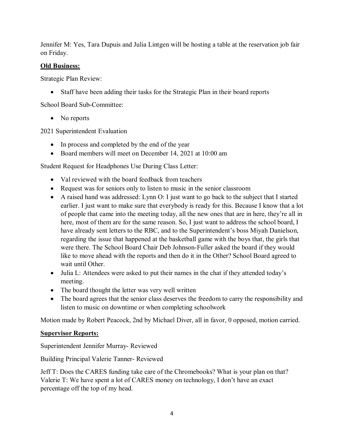Jennifer M: Yes, Tara Dupuis and Julia Lintgen will be hosting a table at the reservation job fair on Friday.

### **Old Business:**

Strategic Plan Review:

• Staff have been adding their tasks for the Strategic Plan in their board reports

School Board Sub-Committee:

• No reports

2021 Superintendent Evaluation

- In process and completed by the end of the year
- Board members will meet on December 14, 2021 at 10:00 am

Student Request for Headphones Use During Class Letter:

- Val reviewed with the board feedback from teachers
- Request was for seniors only to listen to music in the senior classroom
- A raised hand was addressed: Lynn O: I just want to go back to the subject that I started earlier. I just want to make sure that everybody is ready for this. Because I know that a lot of people that came into the meeting today, all the new ones that are in here, they're all in here, most of them are for the same reason. So, I just want to address the school board, I have already sent letters to the RBC, and to the Superintendent's boss Miyah Danielson, regarding the issue that happened at the basketball game with the boys that, the girls that were there. The School Board Chair Deb Johnson-Fuller asked the board if they would like to move ahead with the reports and then do it in the Other? School Board agreed to wait until Other.
- Julia L: Attendees were asked to put their names in the chat if they attended today's meeting.
- The board thought the letter was very well written
- The board agrees that the senior class deserves the freedom to carry the responsibility and listen to music on downtime or when completing schoolwork

Motion made by Robert Peacock, 2nd by Michael Diver, all in favor, 0 opposed, motion carried.

### **Supervisor Reports:**

Superintendent Jennifer Murray- Reviewed

Building Principal Valerie Tanner- Reviewed

Jeff T: Does the CARES funding take care of the Chromebooks? What is your plan on that? Valerie T: We have spent a lot of CARES money on technology, I don't have an exact percentage off the top of my head.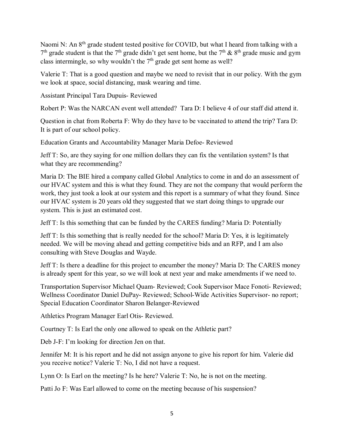Naomi N: An 8<sup>th</sup> grade student tested positive for COVID, but what I heard from talking with a  $7<sup>th</sup>$  grade student is that the  $7<sup>th</sup>$  grade didn't get sent home, but the  $7<sup>th</sup>$  &  $8<sup>th</sup>$  grade music and gym class intermingle, so why wouldn't the  $7<sup>th</sup>$  grade get sent home as well?

Valerie T: That is a good question and maybe we need to revisit that in our policy. With the gym we look at space, social distancing, mask wearing and time.

Assistant Principal Tara Dupuis- Reviewed

Robert P: Was the NARCAN event well attended? Tara D: I believe 4 of our staff did attend it.

Question in chat from Roberta F: Why do they have to be vaccinated to attend the trip? Tara D: It is part of our school policy.

Education Grants and Accountability Manager Maria Defoe- Reviewed

Jeff T: So, are they saying for one million dollars they can fix the ventilation system? Is that what they are recommending?

Maria D: The BIE hired a company called Global Analytics to come in and do an assessment of our HVAC system and this is what they found. They are not the company that would perform the work, they just took a look at our system and this report is a summary of what they found. Since our HVAC system is 20 years old they suggested that we start doing things to upgrade our system. This is just an estimated cost.

Jeff T: Is this something that can be funded by the CARES funding? Maria D: Potentially

Jeff T: Is this something that is really needed for the school? Maria D: Yes, it is legitimately needed. We will be moving ahead and getting competitive bids and an RFP, and I am also consulting with Steve Douglas and Wayde.

Jeff T: Is there a deadline for this project to encumber the money? Maria D: The CARES money is already spent for this year, so we will look at next year and make amendments if we need to.

Transportation Supervisor Michael Quam- Reviewed; Cook Supervisor Mace Fonoti- Reviewed; Wellness Coordinator Daniel DuPay- Reviewed; School-Wide Activities Supervisor- no report; Special Education Coordinator Sharon Belanger-Reviewed

Athletics Program Manager Earl Otis- Reviewed.

Courtney T: Is Earl the only one allowed to speak on the Athletic part?

Deb J-F: I'm looking for direction Jen on that.

Jennifer M: It is his report and he did not assign anyone to give his report for him. Valerie did you receive notice? Valerie T: No, I did not have a request.

Lynn O: Is Earl on the meeting? Is he here? Valerie T: No, he is not on the meeting.

Patti Jo F: Was Earl allowed to come on the meeting because of his suspension?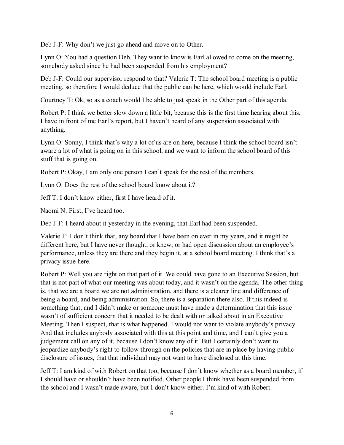Deb J-F: Why don't we just go ahead and move on to Other.

Lynn O: You had a question Deb. They want to know is Earl allowed to come on the meeting, somebody asked since he had been suspended from his employment?

Deb J-F: Could our supervisor respond to that? Valerie T: The school board meeting is a public meeting, so therefore I would deduce that the public can be here, which would include Earl.

Courtney T: Ok, so as a coach would I be able to just speak in the Other part of this agenda.

Robert P: I think we better slow down a little bit, because this is the first time hearing about this. I have in front of me Earl's report, but I haven't heard of any suspension associated with anything.

Lynn O: Sonny, I think that's why a lot of us are on here, because I think the school board isn't aware a lot of what is going on in this school, and we want to inform the school board of this stuff that is going on.

Robert P: Okay, I am only one person I can't speak for the rest of the members.

Lynn O: Does the rest of the school board know about it?

Jeff T: I don't know either, first I have heard of it.

Naomi N: First, I've heard too.

Deb J-F: I heard about it yesterday in the evening, that Earl had been suspended.

Valerie T: I don't think that, any board that I have been on ever in my years, and it might be different here, but I have never thought, or knew, or had open discussion about an employee's performance, unless they are there and they begin it, at a school board meeting. I think that's a privacy issue here.

Robert P: Well you are right on that part of it. We could have gone to an Executive Session, but that is not part of what our meeting was about today, and it wasn't on the agenda. The other thing is, that we are a board we are not administration, and there is a clearer line and difference of being a board, and being administration. So, there is a separation there also. If this indeed is something that, and I didn't make or someone must have made a determination that this issue wasn't of sufficient concern that it needed to be dealt with or talked about in an Executive Meeting. Then I suspect, that is what happened. I would not want to violate anybody's privacy. And that includes anybody associated with this at this point and time, and I can't give you a judgement call on any of it, because I don't know any of it. But I certainly don't want to jeopardize anybody's right to follow through on the policies that are in place by having public disclosure of issues, that that individual may not want to have disclosed at this time.

Jeff T: I am kind of with Robert on that too, because I don't know whether as a board member, if I should have or shouldn't have been notified. Other people I think have been suspended from the school and I wasn't made aware, but I don't know either. I'm kind of with Robert.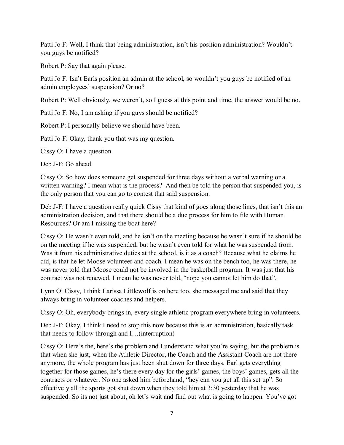Patti Jo F: Well, I think that being administration, isn't his position administration? Wouldn't you guys be notified?

Robert P: Say that again please.

Patti Jo F: Isn't Earls position an admin at the school, so wouldn't you guys be notified of an admin employees' suspension? Or no?

Robert P: Well obviously, we weren't, so I guess at this point and time, the answer would be no.

Patti Jo F: No, I am asking if you guys should be notified?

Robert P: I personally believe we should have been.

Patti Jo F: Okay, thank you that was my question.

Cissy O: I have a question.

Deb J-F: Go ahead.

Cissy O: So how does someone get suspended for three days without a verbal warning or a written warning? I mean what is the process? And then be told the person that suspended you, is the only person that you can go to contest that said suspension.

Deb J-F: I have a question really quick Cissy that kind of goes along those lines, that isn't this an administration decision, and that there should be a due process for him to file with Human Resources? Or am I missing the boat here?

Cissy O: He wasn't even told, and he isn't on the meeting because he wasn't sure if he should be on the meeting if he was suspended, but he wasn't even told for what he was suspended from. Was it from his administrative duties at the school, is it as a coach? Because what he claims he did, is that he let Moose volunteer and coach. I mean he was on the bench too, he was there, he was never told that Moose could not be involved in the basketball program. It was just that his contract was not renewed. I mean he was never told, "nope you cannot let him do that".

Lynn O: Cissy, I think Larissa Littlewolf is on here too, she messaged me and said that they always bring in volunteer coaches and helpers.

Cissy O: Oh, everybody brings in, every single athletic program everywhere bring in volunteers.

Deb J-F: Okay, I think I need to stop this now because this is an administration, basically task that needs to follow through and I…(interruption)

Cissy O: Here's the, here's the problem and I understand what you're saying, but the problem is that when she just, when the Athletic Director, the Coach and the Assistant Coach are not there anymore, the whole program has just been shut down for three days. Earl gets everything together for those games, he's there every day for the girls' games, the boys' games, gets all the contracts or whatever. No one asked him beforehand, "hey can you get all this set up". So effectively all the sports got shut down when they told him at 3:30 yesterday that he was suspended. So its not just about, oh let's wait and find out what is going to happen. You've got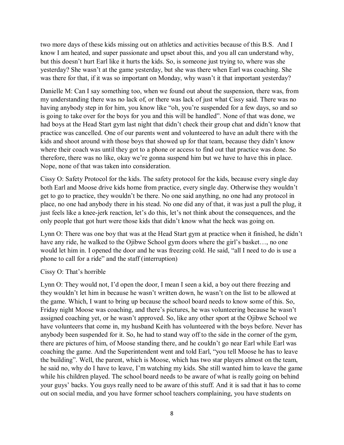two more days of these kids missing out on athletics and activities because of this B.S. And I know I am heated, and super passionate and upset about this, and you all can understand why, but this doesn't hurt Earl like it hurts the kids. So, is someone just trying to, where was she yesterday? She wasn't at the game yesterday, but she was there when Earl was coaching. She was there for that, if it was so important on Monday, why wasn't it that important yesterday?

Danielle M: Can I say something too, when we found out about the suspension, there was, from my understanding there was no lack of, or there was lack of just what Cissy said. There was no having anybody step in for him, you know like "oh, you're suspended for a few days, so and so is going to take over for the boys for you and this will be handled". None of that was done, we had boys at the Head Start gym last night that didn't check their group chat and didn't know that practice was cancelled. One of our parents went and volunteered to have an adult there with the kids and shoot around with those boys that showed up for that team, because they didn't know where their coach was until they got to a phone or access to find out that practice was done. So therefore, there was no like, okay we're gonna suspend him but we have to have this in place. Nope, none of that was taken into consideration.

Cissy O: Safety Protocol for the kids. The safety protocol for the kids, because every single day both Earl and Moose drive kids home from practice, every single day. Otherwise they wouldn't get to go to practice, they wouldn't be there. No one said anything, no one had any protocol in place, no one had anybody there in his stead. No one did any of that, it was just a pull the plug, it just feels like a knee-jerk reaction, let's do this, let's not think about the consequences, and the only people that got hurt were those kids that didn't know what the heck was going on.

Lynn O: There was one boy that was at the Head Start gym at practice when it finished, he didn't have any ride, he walked to the Ojibwe School gym doors where the girl's basket..., no one would let him in. I opened the door and he was freezing cold. He said, "all I need to do is use a phone to call for a ride" and the staff (interruption)

#### Cissy O: That's horrible

Lynn O: They would not, I'd open the door, I mean I seen a kid, a boy out there freezing and they wouldn't let him in because he wasn't written down, he wasn't on the list to be allowed at the game. Which, I want to bring up because the school board needs to know some of this. So, Friday night Moose was coaching, and there's pictures, he was volunteering because he wasn't assigned coaching yet, or he wasn't approved. So, like any other sport at the Ojibwe School we have volunteers that come in, my husband Keith has volunteered with the boys before. Never has anybody been suspended for it. So, he had to stand way off to the side in the corner of the gym, there are pictures of him, of Moose standing there, and he couldn't go near Earl while Earl was coaching the game. And the Superintendent went and told Earl, "you tell Moose he has to leave the building". Well, the parent, which is Moose, which has two star players almost on the team, he said no, why do I have to leave, I'm watching my kids. She still wanted him to leave the game while his children played. The school board needs to be aware of what is really going on behind your guys' backs. You guys really need to be aware of this stuff. And it is sad that it has to come out on social media, and you have former school teachers complaining, you have students on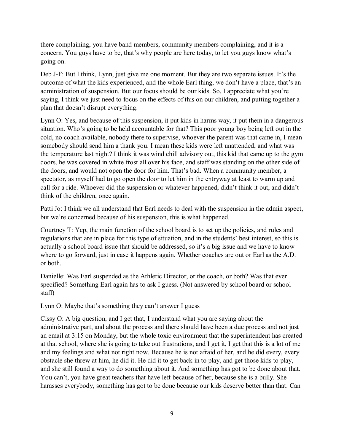there complaining, you have band members, community members complaining, and it is a concern. You guys have to be, that's why people are here today, to let you guys know what's going on.

Deb J-F: But I think, Lynn, just give me one moment. But they are two separate issues. It's the outcome of what the kids experienced, and the whole Earl thing, we don't have a place, that's an administration of suspension. But our focus should be our kids. So, I appreciate what you're saying, I think we just need to focus on the effects of this on our children, and putting together a plan that doesn't disrupt everything.

Lynn O: Yes, and because of this suspension, it put kids in harms way, it put them in a dangerous situation. Who's going to be held accountable for that? This poor young boy being left out in the cold, no coach available, nobody there to supervise, whoever the parent was that came in, I mean somebody should send him a thank you. I mean these kids were left unattended, and what was the temperature last night? I think it was wind chill advisory out, this kid that came up to the gym doors, he was covered in white frost all over his face, and staff was standing on the other side of the doors, and would not open the door for him. That's bad. When a community member, a spectator, as myself had to go open the door to let him in the entryway at least to warm up and call for a ride. Whoever did the suspension or whatever happened, didn't think it out, and didn't think of the children, once again.

Patti Jo: I think we all understand that Earl needs to deal with the suspension in the admin aspect, but we're concerned because of his suspension, this is what happened.

Courtney T: Yep, the main function of the school board is to set up the policies, and rules and regulations that are in place for this type of situation, and in the students' best interest, so this is actually a school board issue that should be addressed, so it's a big issue and we have to know where to go forward, just in case it happens again. Whether coaches are out or Earl as the A.D. or both.

Danielle: Was Earl suspended as the Athletic Director, or the coach, or both? Was that ever specified? Something Earl again has to ask I guess. (Not answered by school board or school staff)

Lynn O: Maybe that's something they can't answer I guess

Cissy O: A big question, and I get that, I understand what you are saying about the administrative part, and about the process and there should have been a due process and not just an email at 3:15 on Monday, but the whole toxic environment that the superintendent has created at that school, where she is going to take out frustrations, and I get it, I get that this is a lot of me and my feelings and what not right now. Because he is not afraid of her, and he did every, every obstacle she threw at him, he did it. He did it to get back in to play, and get those kids to play, and she still found a way to do something about it. And something has got to be done about that. You can't, you have great teachers that have left because of her, because she is a bully. She harasses everybody, something has got to be done because our kids deserve better than that. Can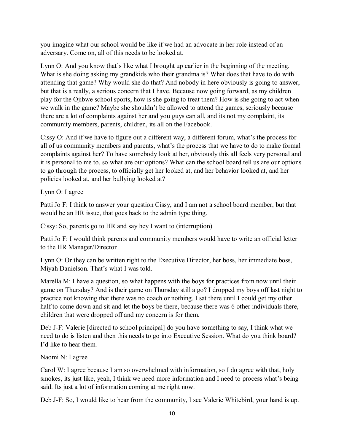you imagine what our school would be like if we had an advocate in her role instead of an adversary. Come on, all of this needs to be looked at.

Lynn O: And you know that's like what I brought up earlier in the beginning of the meeting. What is she doing asking my grandkids who their grandma is? What does that have to do with attending that game? Why would she do that? And nobody in here obviously is going to answer, but that is a really, a serious concern that I have. Because now going forward, as my children play for the Ojibwe school sports, how is she going to treat them? How is she going to act when we walk in the game? Maybe she shouldn't be allowed to attend the games, seriously because there are a lot of complaints against her and you guys can all, and its not my complaint, its community members, parents, children, its all on the Facebook.

Cissy O: And if we have to figure out a different way, a different forum, what's the process for all of us community members and parents, what's the process that we have to do to make formal complaints against her? To have somebody look at her, obviously this all feels very personal and it is personal to me to, so what are our options? What can the school board tell us are our options to go through the process, to officially get her looked at, and her behavior looked at, and her policies looked at, and her bullying looked at?

Lynn O: I agree

Patti Jo F: I think to answer your question Cissy, and I am not a school board member, but that would be an HR issue, that goes back to the admin type thing.

Cissy: So, parents go to HR and say hey I want to (interruption)

Patti Jo F: I would think parents and community members would have to write an official letter to the HR Manager/Director

Lynn O: Or they can be written right to the Executive Director, her boss, her immediate boss, Miyah Danielson. That's what I was told.

Marella M: I have a question, so what happens with the boys for practices from now until their game on Thursday? And is their game on Thursday still a go? I dropped my boys off last night to practice not knowing that there was no coach or nothing. I sat there until I could get my other half to come down and sit and let the boys be there, because there was 6 other individuals there, children that were dropped off and my concern is for them.

Deb J-F: Valerie [directed to school principal] do you have something to say, I think what we need to do is listen and then this needs to go into Executive Session. What do you think board? I'd like to hear them.

Naomi N: I agree

Carol W: I agree because I am so overwhelmed with information, so I do agree with that, holy smokes, its just like, yeah, I think we need more information and I need to process what's being said. Its just a lot of information coming at me right now.

Deb J-F: So, I would like to hear from the community, I see Valerie Whitebird, your hand is up.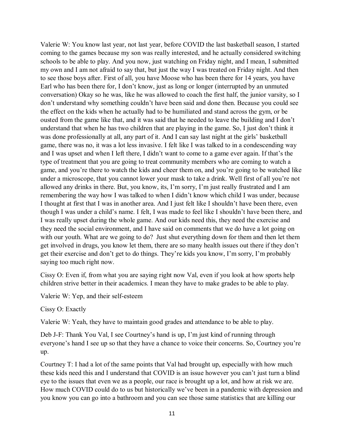Valerie W: You know last year, not last year, before COVID the last basketball season, I started coming to the games because my son was really interested, and he actually considered switching schools to be able to play. And you now, just watching on Friday night, and I mean, I submitted my own and I am not afraid to say that, but just the way I was treated on Friday night. And then to see those boys after. First of all, you have Moose who has been there for 14 years, you have Earl who has been there for, I don't know, just as long or longer (interrupted by an unmuted conversation) Okay so he was, like he was allowed to coach the first half, the junior varsity, so I don't understand why something couldn't have been said and done then. Because you could see the effect on the kids when he actually had to be humiliated and stand across the gym, or be ousted from the game like that, and it was said that he needed to leave the building and I don't understand that when he has two children that are playing in the game. So, I just don't think it was done professionally at all, any part of it. And I can say last night at the girls' basketball game, there was no, it was a lot less invasive. I felt like I was talked to in a condescending way and I was upset and when I left there, I didn't want to come to a game ever again. If that's the type of treatment that you are going to treat community members who are coming to watch a game, and you're there to watch the kids and cheer them on, and you're going to be watched like under a microscope, that you cannot lower your mask to take a drink. Well first of all you're not allowed any drinks in there. But, you know, its, I'm sorry, I'm just really frustrated and I am remembering the way how I was talked to when I didn't know which child I was under, because I thought at first that I was in another area. And I just felt like I shouldn't have been there, even though I was under a child's name. I felt, I was made to feel like I shouldn't have been there, and I was really upset during the whole game. And our kids need this, they need the exercise and they need the social environment, and I have said on comments that we do have a lot going on with our youth. What are we going to do? Just shut everything down for them and then let them get involved in drugs, you know let them, there are so many health issues out there if they don't get their exercise and don't get to do things. They're kids you know, I'm sorry, I'm probably saying too much right now.

Cissy O: Even if, from what you are saying right now Val, even if you look at how sports help children strive better in their academics. I mean they have to make grades to be able to play.

Valerie W: Yep, and their self-esteem

Cissy O: Exactly

Valerie W: Yeah, they have to maintain good grades and attendance to be able to play.

Deb J-F: Thank You Val, I see Courtney's hand is up, I'm just kind of running through everyone's hand I see up so that they have a chance to voice their concerns. So, Courtney you're up.

Courtney T: I had a lot of the same points that Val had brought up, especially with how much these kids need this and I understand that COVID is an issue however you can't just turn a blind eye to the issues that even we as a people, our race is brought up a lot, and how at risk we are. How much COVID could do to us but historically we've been in a pandemic with depression and you know you can go into a bathroom and you can see those same statistics that are killing our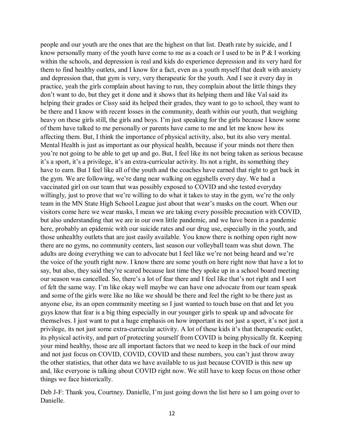people and our youth are the ones that are the highest on that list. Death rate by suicide, and I know personally many of the youth have come to me as a coach or I used to be in  $P \& I$  working within the schools, and depression is real and kids do experience depression and its very hard for them to find healthy outlets, and I know for a fact, even as a youth myself that dealt with anxiety and depression that, that gym is very, very therapeutic for the youth. And I see it every day in practice, yeah the girls complain about having to run, they complain about the little things they don't want to do, but they get it done and it shows that its helping them and like Val said its helping their grades or Cissy said its helped their grades, they want to go to school, they want to be there and I know with recent losses in the community, death within our youth, that weighing heavy on these girls still, the girls and boys. I'm just speaking for the girls because I know some of them have talked to me personally or parents have came to me and let me know how its affecting them. But, I think the importance of physical activity, also, but its also very mental. Mental Health is just as important as our physical health, because if your minds not there then you're not going to be able to get up and go. But, I feel like its not being taken as serious because it's a sport, it's a privilege, it's an extra-curricular activity. Its not a right, its something they have to earn. But I feel like all of the youth and the coaches have earned that right to get back in the gym. We are following, we're dang near walking on eggshells every day. We had a vaccinated girl on our team that was possibly exposed to COVID and she tested everyday willingly, just to prove that we're willing to do what it takes to stay in the gym, we're the only team in the MN State High School League just about that wear's masks on the court. When our visitors come here we wear masks, I mean we are taking every possible precaution with COVID, but also understanding that we are in our own little pandemic, and we have been in a pandemic here, probably an epidemic with our suicide rates and our drug use, especially in the youth, and those unhealthy outlets that are just easily available. You know there is nothing open right now there are no gyms, no community centers, last season our volleyball team was shut down. The adults are doing everything we can to advocate but I feel like we're not being heard and we're the voice of the youth right now. I know there are some youth on here right now that have a lot to say, but also, they said they're scared because last time they spoke up in a school board meeting our season was cancelled. So, there's a lot of fear there and I feel like that's not right and I sort of felt the same way. I'm like okay well maybe we can have one advocate from our team speak and some of the girls were like no like we should be there and feel the right to be there just as anyone else, its an open community meeting so I just wanted to touch base on that and let you guys know that fear is a big thing especially in our younger girls to speak up and advocate for themselves. I just want to put a huge emphasis on how important its not just a sport, it's not just a privilege, its not just some extra-curricular activity. A lot of these kids it's that therapeutic outlet, its physical activity, and part of protecting yourself from COVID is being physically fit. Keeping your mind healthy, those are all important factors that we need to keep in the back of our mind and not just focus on COVID, COVID, COVID and these numbers, you can't just throw away the other statistics, that other data we have available to us just because COVID is this new up and, like everyone is talking about COVID right now. We still have to keep focus on those other things we face historically.

Deb J-F: Thank you, Courtney. Danielle, I'm just going down the list here so I am going over to Danielle.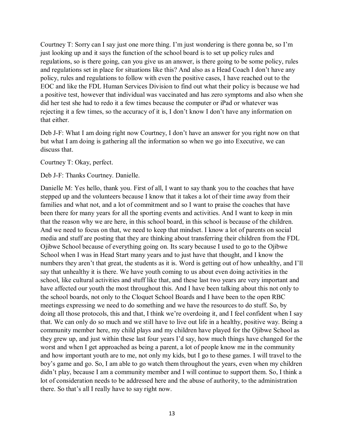Courtney T: Sorry can I say just one more thing. I'm just wondering is there gonna be, so I'm just looking up and it says the function of the school board is to set up policy rules and regulations, so is there going, can you give us an answer, is there going to be some policy, rules and regulations set in place for situations like this? And also as a Head Coach I don't have any policy, rules and regulations to follow with even the positive cases, I have reached out to the EOC and like the FDL Human Services Division to find out what their policy is because we had a positive test, however that individual was vaccinated and has zero symptoms and also when she did her test she had to redo it a few times because the computer or iPad or whatever was rejecting it a few times, so the accuracy of it is, I don't know I don't have any information on that either.

Deb J-F: What I am doing right now Courtney, I don't have an answer for you right now on that but what I am doing is gathering all the information so when we go into Executive, we can discuss that.

Courtney T: Okay, perfect.

Deb J-F: Thanks Courtney. Danielle.

Danielle M: Yes hello, thank you. First of all, I want to say thank you to the coaches that have stepped up and the volunteers because I know that it takes a lot of their time away from their families and what not, and a lot of commitment and so I want to praise the coaches that have been there for many years for all the sporting events and activities. And I want to keep in min that the reason why we are here, in this school board, in this school is because of the children. And we need to focus on that, we need to keep that mindset. I know a lot of parents on social media and stuff are posting that they are thinking about transferring their children from the FDL Ojibwe School because of everything going on. Its scary because I used to go to the Ojibwe School when I was in Head Start many years and to just have that thought, and I know the numbers they aren't that great, the students as it is. Word is getting out of how unhealthy, and I'll say that unhealthy it is there. We have youth coming to us about even doing activities in the school, like cultural activities and stuff like that, and these last two years are very important and have affected our youth the most throughout this. And I have been talking about this not only to the school boards, not only to the Cloquet School Boards and I have been to the open RBC meetings expressing we need to do something and we have the resources to do stuff. So, by doing all those protocols, this and that, I think we're overdoing it, and I feel confident when I say that. We can only do so much and we still have to live out life in a healthy, positive way. Being a community member here, my child plays and my children have played for the Ojibwe School as they grew up, and just within these last four years I'd say, how much things have changed for the worst and when I get approached as being a parent, a lot of people know me in the community and how important youth are to me, not only my kids, but I go to these games. I will travel to the boy's game and go. So, I am able to go watch them throughout the years, even when my children didn't play, because I am a community member and I will continue to support them. So, I think a lot of consideration needs to be addressed here and the abuse of authority, to the administration there. So that's all I really have to say right now.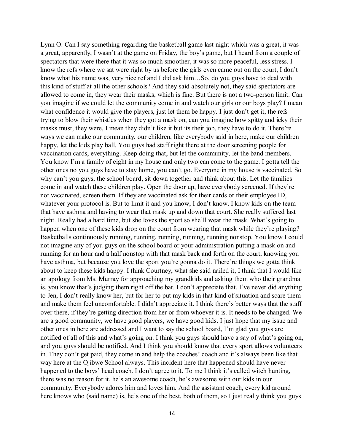Lynn O: Can I say something regarding the basketball game last night which was a great, it was a great, apparently, I wasn't at the game on Friday, the boy's game, but I heard from a couple of spectators that were there that it was so much smoother, it was so more peaceful, less stress. I know the refs where we sat were right by us before the girls even came out on the court, I don't know what his name was, very nice ref and I did ask him…So, do you guys have to deal with this kind of stuff at all the other schools? And they said absolutely not, they said spectators are allowed to come in, they wear their masks, which is fine. But there is not a two-person limit. Can you imagine if we could let the community come in and watch our girls or our boys play? I mean what confidence it would give the players, just let them be happy. I just don't get it, the refs trying to blow their whistles when they got a mask on, can you imagine how spitty and icky their masks must, they were, I mean they didn't like it but its their job, they have to do it. There're ways we can make our community, our children, like everybody said in here, make our children happy, let the kids play ball. You guys had staff right there at the door screening people for vaccination cards, everything. Keep doing that, but let the community, let the band members. You know I'm a family of eight in my house and only two can come to the game. I gotta tell the other ones no you guys have to stay home, you can't go. Everyone in my house is vaccinated. So why can't you guys, the school board, sit down together and think about this. Let the families come in and watch these children play. Open the door up, have everybody screened. If they're not vaccinated, screen them. If they are vaccinated ask for their cards or their employee ID, whatever your protocol is. But to limit it and you know, I don't know. I know kids on the team that have asthma and having to wear that mask up and down that court. She really suffered last night. Really had a hard time, but she loves the sport so she'll wear the mask. What's going to happen when one of these kids drop on the court from wearing that mask while they're playing? Basketballs continuously running, running, running, running, running nonstop. You know I could not imagine any of you guys on the school board or your administration putting a mask on and running for an hour and a half nonstop with that mask back and forth on the court, knowing you have asthma, but because you love the sport you're gonna do it. There're things we gotta think about to keep these kids happy. I think Courtney, what she said nailed it, I think that I would like an apology from Ms. Murray for approaching my grandkids and asking them who their grandma is, you know that's judging them right off the bat. I don't appreciate that, I've never did anything to Jen, I don't really know her, but for her to put my kids in that kind of situation and scare them and make them feel uncomfortable. I didn't appreciate it. I think there's better ways that the staff over there, if they're getting direction from her or from whoever it is. It needs to be changed. We are a good community, we have good players, we have good kids. I just hope that my issue and other ones in here are addressed and I want to say the school board, I'm glad you guys are notified of all of this and what's going on. I think you guys should have a say of what's going on, and you guys should be notified. And I think you should know that every sport allows volunteers in. They don't get paid, they come in and help the coaches' coach and it's always been like that way here at the Ojibwe School always. This incident here that happened should have never happened to the boys' head coach. I don't agree to it. To me I think it's called witch hunting, there was no reason for it, he's an awesome coach, he's awesome with our kids in our community. Everybody adores him and loves him. And the assistant coach, every kid around here knows who (said name) is, he's one of the best, both of them, so I just really think you guys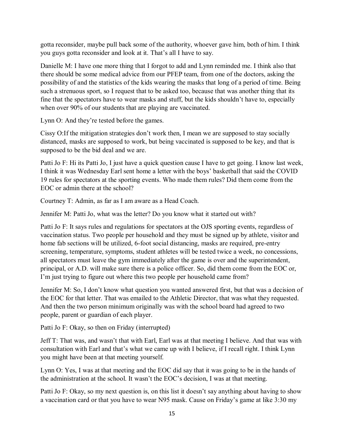gotta reconsider, maybe pull back some of the authority, whoever gave him, both of him. I think you guys gotta reconsider and look at it. That's all I have to say.

Danielle M: I have one more thing that I forgot to add and Lynn reminded me. I think also that there should be some medical advice from our PFEP team, from one of the doctors, asking the possibility of and the statistics of the kids wearing the masks that long of a period of time. Being such a strenuous sport, so I request that to be asked too, because that was another thing that its fine that the spectators have to wear masks and stuff, but the kids shouldn't have to, especially when over 90% of our students that are playing are vaccinated.

Lynn O: And they're tested before the games.

Cissy O:If the mitigation strategies don't work then, I mean we are supposed to stay socially distanced, masks are supposed to work, but being vaccinated is supposed to be key, and that is supposed to be the bid deal and we are.

Patti Jo F: Hi its Patti Jo, I just have a quick question cause I have to get going. I know last week, I think it was Wednesday Earl sent home a letter with the boys' basketball that said the COVID 19 rules for spectators at the sporting events. Who made them rules? Did them come from the EOC or admin there at the school?

Courtney T: Admin, as far as I am aware as a Head Coach.

Jennifer M: Patti Jo, what was the letter? Do you know what it started out with?

Patti Jo F: It says rules and regulations for spectators at the OJS sporting events, regardless of vaccination status. Two people per household and they must be signed up by athlete, visitor and home fab sections will be utilized, 6-foot social distancing, masks are required, pre-entry screening, temperature, symptoms, student athletes will be tested twice a week, no concessions, all spectators must leave the gym immediately after the game is over and the superintendent, principal, or A.D. will make sure there is a police officer. So, did them come from the EOC or, I'm just trying to figure out where this two people per household came from?

Jennifer M: So, I don't know what question you wanted answered first, but that was a decision of the EOC for that letter. That was emailed to the Athletic Director, that was what they requested. And then the two person minimum originally was with the school board had agreed to two people, parent or guardian of each player.

Patti Jo F: Okay, so then on Friday (interrupted)

Jeff T: That was, and wasn't that with Earl, Earl was at that meeting I believe. And that was with consultation with Earl and that's what we came up with I believe, if I recall right. I think Lynn you might have been at that meeting yourself.

Lynn O: Yes, I was at that meeting and the EOC did say that it was going to be in the hands of the administration at the school. It wasn't the EOC's decision, I was at that meeting.

Patti Jo F: Okay, so my next question is, on this list it doesn't say anything about having to show a vaccination card or that you have to wear N95 mask. Cause on Friday's game at like 3:30 my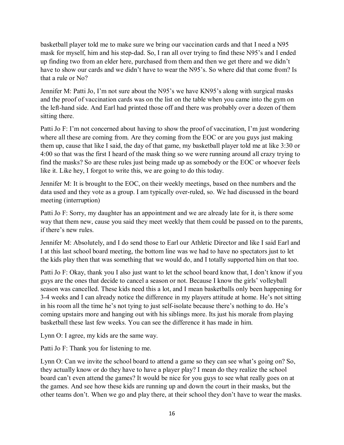basketball player told me to make sure we bring our vaccination cards and that I need a N95 mask for myself, him and his step-dad. So, I ran all over trying to find these N95's and I ended up finding two from an elder here, purchased from them and then we get there and we didn't have to show our cards and we didn't have to wear the N95's. So where did that come from? Is that a rule or No?

Jennifer M: Patti Jo, I'm not sure about the N95's we have KN95's along with surgical masks and the proof of vaccination cards was on the list on the table when you came into the gym on the left-hand side. And Earl had printed those off and there was probably over a dozen of them sitting there.

Patti Jo F: I'm not concerned about having to show the proof of vaccination, I'm just wondering where all these are coming from. Are they coming from the EOC or are you guys just making them up, cause that like I said, the day of that game, my basketball player told me at like 3:30 or 4:00 so that was the first I heard of the mask thing so we were running around all crazy trying to find the masks? So are these rules just being made up as somebody or the EOC or whoever feels like it. Like hey, I forgot to write this, we are going to do this today.

Jennifer M: It is brought to the EOC, on their weekly meetings, based on thee numbers and the data used and they vote as a group. I am typically over-ruled, so. We had discussed in the board meeting (interruption)

Patti Jo F: Sorry, my daughter has an appointment and we are already late for it, is there some way that them new, cause you said they meet weekly that them could be passed on to the parents, if there's new rules.

Jennifer M: Absolutely, and I do send those to Earl our Athletic Director and like I said Earl and I at this last school board meeting, the bottom line was we had to have no spectators just to let the kids play then that was something that we would do, and I totally supported him on that too.

Patti Jo F: Okay, thank you I also just want to let the school board know that, I don't know if you guys are the ones that decide to cancel a season or not. Because I know the girls' volleyball season was cancelled. These kids need this a lot, and I mean basketballs only been happening for 3-4 weeks and I can already notice the difference in my players attitude at home. He's not sitting in his room all the time he's not tying to just self-isolate because there's nothing to do. He's coming upstairs more and hanging out with his siblings more. Its just his morale from playing basketball these last few weeks. You can see the difference it has made in him.

Lynn O: I agree, my kids are the same way.

Patti Jo F: Thank you for listening to me.

Lynn O: Can we invite the school board to attend a game so they can see what's going on? So, they actually know or do they have to have a player play? I mean do they realize the school board can't even attend the games? It would be nice for you guys to see what really goes on at the games. And see how these kids are running up and down the court in their masks, but the other teams don't. When we go and play there, at their school they don't have to wear the masks.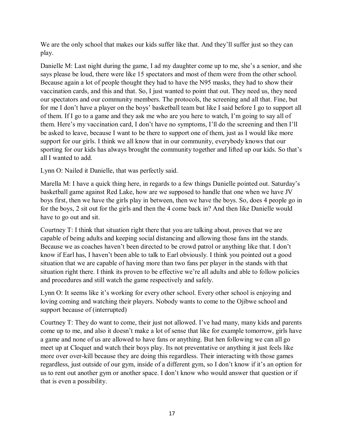We are the only school that makes our kids suffer like that. And they'll suffer just so they can play.

Danielle M: Last night during the game, I ad my daughter come up to me, she's a senior, and she says please be loud, there were like 15 spectators and most of them were from the other school. Because again a lot of people thought they had to have the N95 masks, they had to show their vaccination cards, and this and that. So, I just wanted to point that out. They need us, they need our spectators and our community members. The protocols, the screening and all that. Fine, but for me I don't have a player on the boys' basketball team but like I said before I go to support all of them. If I go to a game and they ask me who are you here to watch, I'm going to say all of them. Here's my vaccination card, I don't have no symptoms, I'll do the screening and then I'll be asked to leave, because I want to be there to support one of them, just as I would like more support for our girls. I think we all know that in our community, everybody knows that our sporting for our kids has always brought the community together and lifted up our kids. So that's all I wanted to add.

Lynn O: Nailed it Danielle, that was perfectly said.

Marella M: I have a quick thing here, in regards to a few things Danielle pointed out. Saturday's basketball game against Red Lake, how are we supposed to handle that one when we have JV boys first, then we have the girls play in between, then we have the boys. So, does 4 people go in for the boys, 2 sit out for the girls and then the 4 come back in? And then like Danielle would have to go out and sit.

Courtney T: I think that situation right there that you are talking about, proves that we are capable of being adults and keeping social distancing and allowing those fans int the stands. Because we as coaches haven't been directed to be crowd patrol or anything like that. I don't know if Earl has, I haven't been able to talk to Earl obviously. I think you pointed out a good situation that we are capable of having more than two fans per player in the stands with that situation right there. I think its proven to be effective we're all adults and able to follow policies and procedures and still watch the game respectively and safely.

Lynn O: It seems like it's working for every other school. Every other school is enjoying and loving coming and watching their players. Nobody wants to come to the Ojibwe school and support because of (interrupted)

Courtney T: They do want to come, their just not allowed. I've had many, many kids and parents come up to me, and also it doesn't make a lot of sense that like for example tomorrow, girls have a game and none of us are allowed to have fans or anything. But hen following we can all go meet up at Cloquet and watch their boys play. Its not preventative or anything it just feels like more over over-kill because they are doing this regardless. Their interacting with those games regardless, just outside of our gym, inside of a different gym, so I don't know if it's an option for us to rent out another gym or another space. I don't know who would answer that question or if that is even a possibility.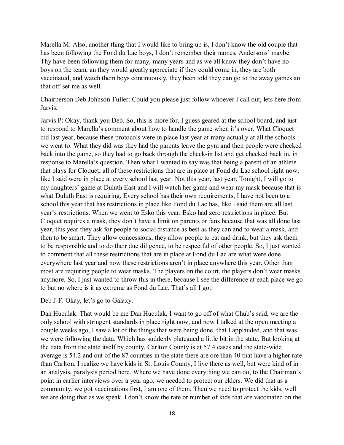Marella M: Also, another thing that I would like to bring up is, I don't know the old couple that has been following the Fond du Lac boys, I don't remember their names, Andersons' maybe. Thy have been following them for many, many years and as we all know they don't have no boys on the team, an they would greatly appreciate if they could come in, they are both vaccinated, and watch them boys continuously, they been told they can go to the away games an that off-set me as well.

Chairperson Deb Johnson-Fuller: Could you please just follow whoever I call out, lets here from Jarvis.

Jarvis P: Okay, thank you Deb. So, this is more for, I guess geared at the school board, and just to respond to Marella's comment about how to handle the game when it's over. What Cloquet did last year, because these protocols were in place last year at many actually at all the schools we went to. What they did was they had the parents leave the gym and then people were checked back into the game, so they had to go back through the check-in list and get checked back in, in response to Marella's question. Then what I wanted to say was that being a parent of an athlete that plays for Cloquet, all of these restrictions that are in place at Fond du Lac school right now, like I said were in place at every school last year. Not this year, last year. Tonight, I will go to my daughters' game at Duluth East and I will watch her game and wear my mask because that is what Duluth East is requiring. Every school has their own requirements, I have not been to a school this year that has restrictions in place like Fond du Lac has, like I said them are all last year's restrictions. When we went to Esko this year, Esko had zero restrictions in place. But Cloquet requires a mask, they don't have a limit on parents or fans because that was all done last year, this year they ask for people to social distance as best as they can and to wear a mask, and then to be smart. They allow concessions, they allow people to eat and drink, but they ask them to be responsible and to do their due diligence, to be respectful of other people. So, I just wanted to comment that all these restrictions that are in place at Fond du Lac are what were done everywhere last year and now these restrictions aren't in place anywhere this year. Other than most are requiring people to wear masks. The players on the court, the players don't wear masks anymore. So, I just wanted to throw this in there, because I see the difference at each place we go to but no where is it as extreme as Fond du Lac. That's all I got.

Deb J-F: Okay, let's go to Galaxy.

Dan Huculak: That would be me Dan Huculak, I want to go off of what Chub's said, we are the only school with stringent standards in place right now, and now I talked at the open meeting a couple weeks ago, I saw a lot of the things that were being done, that I applauded, and that was we were following the data. Which has suddenly plateaued a little bit in the state. But looking at the data from the state itself by county, Carlton County is at 57.4 cases and the state-wide average is 54.2 and out of the 87 counties in the state there are ore than 40 that have a higher rate than Carlton. I realize we have kids in St. Louis County, I live there as well, but were kind of in an analysis, paralysis period here. Where we have done everything we can do, to the Chairman's point in earlier interviews over a year ago, we needed to protect our elders. We did that as a community, we got vaccinations first, I am one of them. Then we need to protect the kids, well we are doing that as we speak. I don't know the rate or number of kids that are vaccinated on the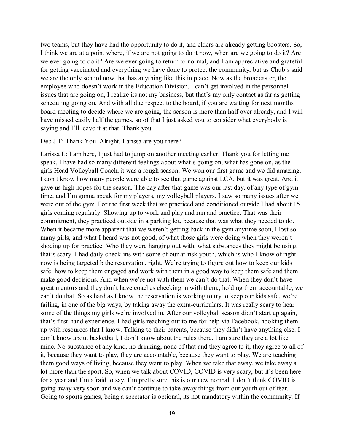two teams, but they have had the opportunity to do it, and elders are already getting boosters. So, I think we are at a point where, if we are not going to do it now, when are we going to do it? Are we ever going to do it? Are we ever going to return to normal, and I am appreciative and grateful for getting vaccinated and everything we have done to protect the community, but as Chub's said we are the only school now that has anything like this in place. Now as the broadcaster, the employee who doesn't work in the Education Division, I can't get involved in the personnel issues that are going on, I realize its not my business, but that's my only contact as far as getting scheduling going on. And with all due respect to the board, if you are waiting for next months board meeting to decide where we are going, the season is more than half over already, and I will have missed easily half the games, so of that I just asked you to consider what everybody is saying and I'll leave it at that. Thank you.

#### Deb J-F: Thank You. Alright, Larissa are you there?

Larissa L: I am here, I just had to jump on another meeting earlier. Thank you for letting me speak, I have had so many different feelings about what's going on, what has gone on, as the girls Head Volleyball Coach, it was a rough season. We won our first game and we did amazing. I don t know how many people were able to see that game against LCA, but it was great. And it gave us high hopes for the season. The day after that game was our last day, of any type of gym time, and I'm gonna speak for my players, my volleyball players. I saw so many issues after we were out of the gym. For the first week that we practiced and conditioned outside I had about 15 girls coming regularly. Showing up to work and play and run and practice. That was their commitment, they practiced outside in a parking lot, because that was what they needed to do. When it became more apparent that we weren't getting back in the gym anytime soon, I lost so many girls, and what I heard was not good, of what those girls were doing when they weren't shoeing up for practice. Who they were hanging out with, what substances they might be using, that's scary. I had daily check-ins with some of our at-risk youth, which is who I know of right now is being targeted b the reservation, right. We're trying to figure out how to keep our kids safe, how to keep them engaged and work with them in a good way to keep them safe and them make good decisions. And when we're not with them we can't do that. When they don't have great mentors and they don't have coaches checking in with them., holding them accountable, we can't do that. So as hard as I know the reservation is working to try to keep our kids safe, we're failing, in one of the big ways, by taking away the extra-curriculars. It was really scary to hear some of the things my girls we're involved in. After our volleyball season didn't start up again, that's first-hand experience. I had girls reaching out to me for help via Facebook, hooking them up with resources that I know. Talking to their parents, because they didn't have anything else. I don't know about basketball, I don't know about the rules there. I am sure they are a lot like mine. No substance of any kind, no drinking, none of that and they agree to it, they agree to all of it, because they want to play, they are accountable, because they want to play. We are teaching them good ways of living, because they want to play. When we take that away, we take away a lot more than the sport. So, when we talk about COVID, COVID is very scary, but it's been here for a year and I'm afraid to say, I'm pretty sure this is our new normal. I don't think COVID is going away very soon and we can't continue to take away things from our youth out of fear. Going to sports games, being a spectator is optional, its not mandatory within the community. If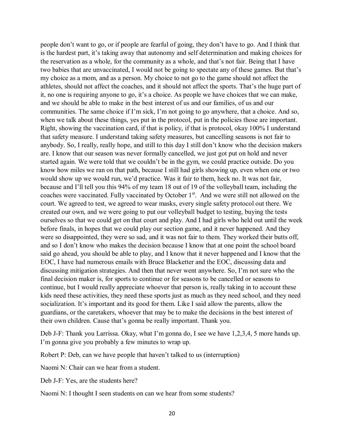people don't want to go, or if people are fearful of going, they don't have to go. And I think that is the hardest part, it's taking away that autonomy and self determination and making choices for the reservation as a whole, for the community as a whole, and that's not fair. Being that I have two babies that are unvaccinated, I would not be going to spectate any of these games. But that's my choice as a mom, and as a person. My choice to not go to the game should not affect the athletes, should not affect the coaches, and it should not affect the sports. That's the huge part of it, no one is requiring anyone to go, it's a choice. As people we have choices that we can make, and we should be able to make in the best interest of us and our families, of us and our communities. The same choice if I'm sick, I'm not going to go anywhere, that a choice. And so, when we talk about these things, yes put in the protocol, put in the policies those are important. Right, showing the vaccination card, if that is policy, if that is protocol, okay 100% I understand that safety measure. I understand taking safety measures, but cancelling seasons is not fair to anybody. So, I really, really hope, and still to this day I still don't know who the decision makers are. I know that our season was never formally cancelled, we just got put on hold and never started again. We were told that we couldn't be in the gym, we could practice outside. Do you know how miles we ran on that path, because I still had girls showing up, even when one or two would show up we would run, we'd practice. Was it fair to them, heck no. It was not fair, because and I'll tell you this 94% of my team 18 out of 19 of the volleyball team, including the coaches were vaccinated. Fully vaccinated by October 1<sup>st</sup>. And we were still not allowed on the court. We agreed to test, we agreed to wear masks, every single safety protocol out there. We created our own, and we were going to put our volleyball budget to testing, buying the tests ourselves so that we could get on that court and play. And I had girls who held out until the week before finals, in hopes that we could play our section game, and it never happened. And they were so disappointed, they were so sad, and it was not fair to them. They worked their butts off, and so I don't know who makes the decision because I know that at one point the school board said go ahead, you should be able to play, and I know that it never happened and I know that the EOC, I have had numerous emails with Bruce Blacketter and the EOC, discussing data and discussing mitigation strategies. And then that never went anywhere. So, I'm not sure who the final decision maker is, for sports to continue or for seasons to be cancelled or seasons to continue, but I would really appreciate whoever that person is, really taking in to account these kids need these activities, they need these sports just as much as they need school, and they need socialization. It's important and its good for them. Like I said allow the parents, allow the guardians, or the caretakers, whoever that may be to make the decisions in the best interest of their own children. Cause that's gonna be really important. Thank you.

Deb J-F: Thank you Larrissa. Okay, what I'm gonna do, I see we have 1,2,3,4, 5 more hands up. I'm gonna give you probably a few minutes to wrap up.

Robert P: Deb, can we have people that haven't talked to us (interruption)

Naomi N: Chair can we hear from a student.

Deb J-F: Yes, are the students here?

Naomi N: I thought I seen students on can we hear from some students?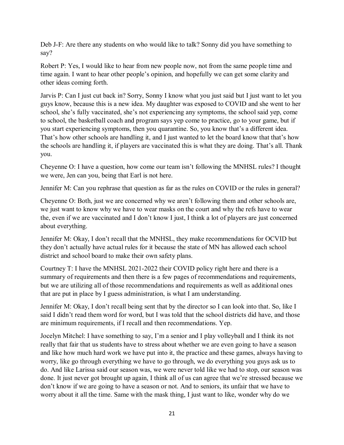Deb J-F: Are there any students on who would like to talk? Sonny did you have something to say?

Robert P: Yes, I would like to hear from new people now, not from the same people time and time again. I want to hear other people's opinion, and hopefully we can get some clarity and other ideas coming forth.

Jarvis P: Can I just cut back in? Sorry, Sonny I know what you just said but I just want to let you guys know, because this is a new idea. My daughter was exposed to COVID and she went to her school, she's fully vaccinated, she's not experiencing any symptoms, the school said yep, come to school, the basketball coach and program says yep come to practice, go to your game, but if you start experiencing symptoms, then you quarantine. So, you know that's a different idea. That's how other schools are handling it, and I just wanted to let the board know that that's how the schools are handling it, if players are vaccinated this is what they are doing. That's all. Thank you.

Cheyenne O: I have a question, how come our team isn't following the MNHSL rules? I thought we were, Jen can you, being that Earl is not here.

Jennifer M: Can you rephrase that question as far as the rules on COVID or the rules in general?

Cheyenne O: Both, just we are concerned why we aren't following them and other schools are, we just want to know why we have to wear masks on the court and why the refs have to wear the, even if we are vaccinated and I don't know I just, I think a lot of players are just concerned about everything.

Jennifer M: Okay, I don't recall that the MNHSL, they make recommendations for OCVID but they don't actually have actual rules for it because the state of MN has allowed each school district and school board to make their own safety plans.

Courtney T: I have the MNHSL 2021-2022 their COVID policy right here and there is a summary of requirements and then there is a few pages of recommendations and requirements, but we are utilizing all of those recommendations and requirements as well as additional ones that are put in place by I guess administration, is what I am understanding.

Jennifer M: Okay, I don't recall being sent that by the director so I can look into that. So, like I said I didn't read them word for word, but I was told that the school districts did have, and those are minimum requirements, if I recall and then recommendations. Yep.

Jocelyn Mitchel: I have something to say, I'm a senior and I play volleyball and I think its not really that fair that us students have to stress about whether we are even going to have a season and like how much hard work we have put into it, the practice and these games, always having to worry, like go through everything we have to go through, we do everything you guys ask us to do. And like Larissa said our season was, we were never told like we had to stop, our season was done. It just never got brought up again, I think all of us can agree that we're stressed because we don't know if we are going to have a season or not. And to seniors, its unfair that we have to worry about it all the time. Same with the mask thing, I just want to like, wonder why do we